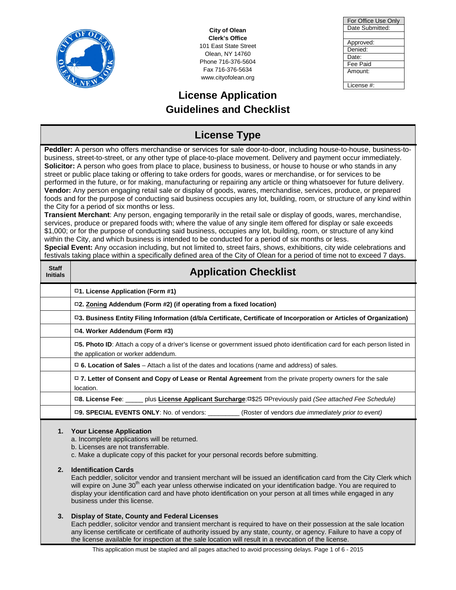

**City of Olean Clerk's Office** 101 East State Street Olean, NY 14760 Phone 716-376-5604 Fax 716-376-5634 www.cityofolean.org

# **License Application Guidelines and Checklist**

| For Office Use Only |
|---------------------|
| Date Submitted:     |
|                     |
| Approved:           |
| Denied:             |
| Date:               |
| Fee Paid            |
| Amount:             |
|                     |
| License #:          |

#### **License Type Peddler:** A person who offers merchandise or services for sale door-to-door, including house-to-house, business-tobusiness, street-to-street, or any other type of place-to-place movement. Delivery and payment occur immediately. **Solicitor:** A person who goes from place to place, business to business, or house to house or who stands in any street or public place taking or offering to take orders for goods, wares or merchandise, or for services to be performed in the future, or for making, manufacturing or repairing any article or thing whatsoever for future delivery. **Vendor:** Any person engaging retail sale or display of goods, wares, merchandise, services, produce, or prepared foods and for the purpose of conducting said business occupies any lot, building, room, or structure of any kind within the City for a period of six months or less. **Transient Merchant**: Any person, engaging temporarily in the retail sale or display of goods, wares, merchandise, services, produce or prepared foods with; where the value of any single item offered for display or sale exceeds \$1,000; or for the purpose of conducting said business, occupies any lot, building, room, or structure of any kind within the City, and which business is intended to be conducted for a period of six months or less. **Special Event:** Any occasion including, but not limited to, street fairs, shows, exhibitions, city wide celebrations and festivals taking place within a specifically defined area of the City of Olean for a period of time not to exceed 7 days. **Staff Application Checklist**

|    | $\Box$ 1. License Application (Form #1)                                                                                                                                                                                                                                                                                                                                                                                                |  |  |  |
|----|----------------------------------------------------------------------------------------------------------------------------------------------------------------------------------------------------------------------------------------------------------------------------------------------------------------------------------------------------------------------------------------------------------------------------------------|--|--|--|
|    | $\Box$ 2. Zoning Addendum (Form #2) (if operating from a fixed location)                                                                                                                                                                                                                                                                                                                                                               |  |  |  |
|    | □3. Business Entity Filing Information (d/b/a Certificate, Certificate of Incorporation or Articles of Organization)                                                                                                                                                                                                                                                                                                                   |  |  |  |
|    | □4. Worker Addendum (Form #3)                                                                                                                                                                                                                                                                                                                                                                                                          |  |  |  |
|    | □5. Photo ID: Attach a copy of a driver's license or government issued photo identification card for each person listed in<br>the application or worker addendum.                                                                                                                                                                                                                                                                      |  |  |  |
|    | $\Box$ 6. Location of Sales – Attach a list of the dates and locations (name and address) of sales.                                                                                                                                                                                                                                                                                                                                    |  |  |  |
|    | □ 7. Letter of Consent and Copy of Lease or Rental Agreement from the private property owners for the sale<br>location.                                                                                                                                                                                                                                                                                                                |  |  |  |
|    | □8. License Fee: _____ plus License Applicant Surcharge: □\$25 □Previously paid (See attached Fee Schedule)                                                                                                                                                                                                                                                                                                                            |  |  |  |
|    | □9. SPECIAL EVENTS ONLY: No. of vendors: _________(Roster of vendors <i>due immediately prior to event)</i>                                                                                                                                                                                                                                                                                                                            |  |  |  |
|    | 1. Your License Application<br>a. Incomplete applications will be returned.<br>b. Licenses are not transferrable.<br>c. Make a duplicate copy of this packet for your personal records before submitting.                                                                                                                                                                                                                              |  |  |  |
| 2. | <b>Identification Cards</b><br>Each peddler, solicitor vendor and transient merchant will be issued an identification card from the City Clerk which<br>will expire on June 30 <sup>th</sup> each year unless otherwise indicated on your identification badge. You are required to<br>display your identification card and have photo identification on your person at all times while engaged in any<br>business under this license. |  |  |  |
| 3. | Display of State, County and Federal Licenses                                                                                                                                                                                                                                                                                                                                                                                          |  |  |  |

Each peddler, solicitor vendor and transient merchant is required to have on their possession at the sale location any license certificate or certificate of authority issued by any state, county, or agency. Failure to have a copy of the license available for inspection at the sale location will result in a revocation of the license.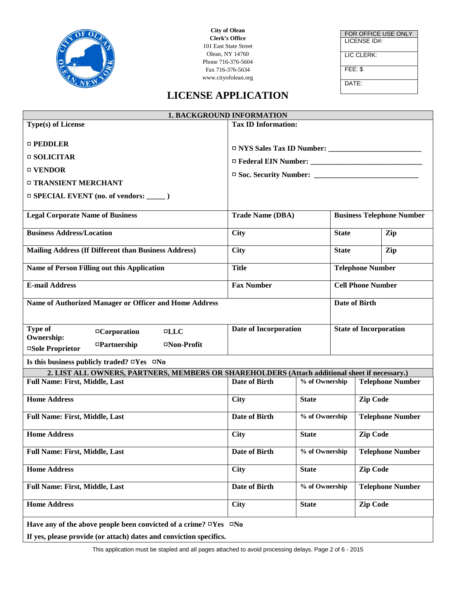

**City of Olean Clerk's Office** 101 East State Street Olean, NY 14760 Phone 716-376-5604 Fax 716-376-5634 www.cityofolean.org

FOR OFFICE USE ONLY LICENSE ID#: LIC CLERK: FEE: \$ DATE:

### **LICENSE APPLICATION**

| <b>1. BACKGROUND INFORMATION</b>                                                              |                                                             |                                           |                          |                         |                         |
|-----------------------------------------------------------------------------------------------|-------------------------------------------------------------|-------------------------------------------|--------------------------|-------------------------|-------------------------|
| <b>Type(s) of License</b>                                                                     | <b>Tax ID Information:</b>                                  |                                           |                          |                         |                         |
|                                                                                               |                                                             |                                           |                          |                         |                         |
| $\Box$ PEDDLER                                                                                |                                                             |                                           |                          |                         |                         |
| $\Box$ SOLICITAR                                                                              |                                                             |                                           |                          |                         |                         |
| □ VENDOR                                                                                      |                                                             |                                           |                          |                         |                         |
| □ TRANSIENT MERCHANT                                                                          |                                                             |                                           |                          |                         |                         |
|                                                                                               |                                                             |                                           |                          |                         |                         |
|                                                                                               |                                                             |                                           |                          |                         |                         |
| <b>Legal Corporate Name of Business</b>                                                       | <b>Trade Name (DBA)</b><br><b>Business Telephone Number</b> |                                           |                          |                         |                         |
| <b>Business Address/Location</b>                                                              | City                                                        |                                           | Zip<br><b>State</b>      |                         |                         |
|                                                                                               |                                                             |                                           |                          |                         |                         |
| <b>Mailing Address (If Different than Business Address)</b>                                   | City                                                        |                                           | Zip<br><b>State</b>      |                         |                         |
| Name of Person Filling out this Application                                                   | <b>Title</b>                                                |                                           | <b>Telephone Number</b>  |                         |                         |
|                                                                                               |                                                             |                                           |                          |                         |                         |
| <b>E-mail Address</b>                                                                         | <b>Fax Number</b>                                           |                                           | <b>Cell Phone Number</b> |                         |                         |
| Name of Authorized Manager or Officer and Home Address                                        |                                                             |                                           |                          | Date of Birth           |                         |
|                                                                                               |                                                             |                                           |                          |                         |                         |
| <b>State of Incorporation</b><br>Type of<br>Date of Incorporation                             |                                                             |                                           |                          |                         |                         |
| □Corporation<br>$\blacksquare$ LLC<br><b>Ownership:</b>                                       |                                                             |                                           |                          |                         |                         |
| $\Box$ Partnership<br>□Non-Profit<br>□Sole Proprietor                                         |                                                             |                                           |                          |                         |                         |
| Is this business publicly traded? $\Box$ Yes $\Box$ No                                        |                                                             |                                           |                          |                         |                         |
| 2. LIST ALL OWNERS, PARTNERS, MEMBERS OR SHAREHOLDERS (Attach additional sheet if necessary.) |                                                             |                                           |                          |                         |                         |
| <b>Full Name: First, Middle, Last</b>                                                         | <b>Date of Birth</b>                                        | % of Ownership                            |                          |                         | <b>Telephone Number</b> |
| <b>Home Address</b>                                                                           | City                                                        | <b>State</b>                              |                          | <b>Zip Code</b>         |                         |
|                                                                                               |                                                             |                                           |                          |                         |                         |
| <b>Full Name: First, Middle, Last</b>                                                         | <b>Date of Birth</b>                                        | % of Ownership                            |                          |                         | <b>Telephone Number</b> |
| <b>Home Address</b>                                                                           | City                                                        | <b>State</b>                              |                          | <b>Zip Code</b>         |                         |
|                                                                                               |                                                             |                                           |                          |                         |                         |
| <b>Full Name: First, Middle, Last</b>                                                         | Date of Birth                                               | % of Ownership                            |                          | <b>Telephone Number</b> |                         |
| <b>Home Address</b>                                                                           | <b>City</b>                                                 | <b>State</b>                              |                          | <b>Zip Code</b>         |                         |
|                                                                                               |                                                             |                                           |                          |                         |                         |
| <b>Full Name: First, Middle, Last</b>                                                         | Date of Birth                                               | % of Ownership<br><b>Telephone Number</b> |                          |                         |                         |
| <b>Home Address</b>                                                                           | <b>City</b>                                                 | <b>State</b>                              |                          | <b>Zip Code</b>         |                         |
|                                                                                               |                                                             |                                           |                          |                         |                         |
| Have any of the above people been convicted of a crime? $\Box$ Yes $\Box$ No                  |                                                             |                                           |                          |                         |                         |
| If yes, please provide (or attach) dates and conviction specifics.                            |                                                             |                                           |                          |                         |                         |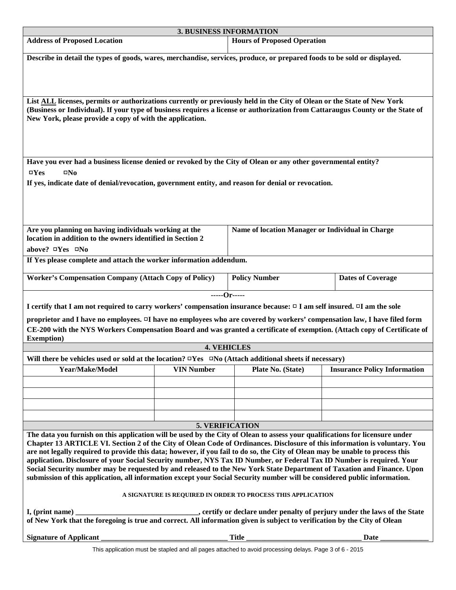| 3. BUSINESS INFORMATION                                                                                                                                                                                                                                    |                   |                                                  |                                     |  |
|------------------------------------------------------------------------------------------------------------------------------------------------------------------------------------------------------------------------------------------------------------|-------------------|--------------------------------------------------|-------------------------------------|--|
| <b>Address of Proposed Location</b>                                                                                                                                                                                                                        |                   | <b>Hours of Proposed Operation</b>               |                                     |  |
| Describe in detail the types of goods, wares, merchandise, services, produce, or prepared foods to be sold or displayed.                                                                                                                                   |                   |                                                  |                                     |  |
|                                                                                                                                                                                                                                                            |                   |                                                  |                                     |  |
|                                                                                                                                                                                                                                                            |                   |                                                  |                                     |  |
| List ALL licenses, permits or authorizations currently or previously held in the City of Olean or the State of New York                                                                                                                                    |                   |                                                  |                                     |  |
| (Business or Individual). If your type of business requires a license or authorization from Cattaraugus County or the State of<br>New York, please provide a copy of with the application.                                                                 |                   |                                                  |                                     |  |
|                                                                                                                                                                                                                                                            |                   |                                                  |                                     |  |
|                                                                                                                                                                                                                                                            |                   |                                                  |                                     |  |
| Have you ever had a business license denied or revoked by the City of Olean or any other governmental entity?                                                                                                                                              |                   |                                                  |                                     |  |
| $\square$ Yes<br>$\square$ No                                                                                                                                                                                                                              |                   |                                                  |                                     |  |
| If yes, indicate date of denial/revocation, government entity, and reason for denial or revocation.                                                                                                                                                        |                   |                                                  |                                     |  |
|                                                                                                                                                                                                                                                            |                   |                                                  |                                     |  |
|                                                                                                                                                                                                                                                            |                   |                                                  |                                     |  |
|                                                                                                                                                                                                                                                            |                   |                                                  |                                     |  |
| Are you planning on having individuals working at the<br>location in addition to the owners identified in Section 2                                                                                                                                        |                   | Name of location Manager or Individual in Charge |                                     |  |
| above? ¤Yes ¤No                                                                                                                                                                                                                                            |                   |                                                  |                                     |  |
| If Yes please complete and attach the worker information addendum.                                                                                                                                                                                         |                   |                                                  |                                     |  |
| <b>Worker's Compensation Company (Attach Copy of Policy)</b>                                                                                                                                                                                               |                   | <b>Policy Number</b>                             | <b>Dates of Coverage</b>            |  |
|                                                                                                                                                                                                                                                            |                   |                                                  |                                     |  |
|                                                                                                                                                                                                                                                            |                   | -----Or-----                                     |                                     |  |
| I certify that I am not required to carry workers' compensation insurance because: $\Box$ I am self insured. $\Box$ I am the sole                                                                                                                          |                   |                                                  |                                     |  |
| proprietor and I have no employees. I have no employees who are covered by workers' compensation law, I have filed form<br>CE-200 with the NYS Workers Compensation Board and was granted a certificate of exemption. (Attach copy of Certificate of       |                   |                                                  |                                     |  |
| <b>Exemption</b> )                                                                                                                                                                                                                                         |                   |                                                  |                                     |  |
| Will there be vehicles used or sold at the location? $\Box$ Yes $\Box$ No (Attach additional sheets if necessary)                                                                                                                                          |                   | <b>4. VEHICLES</b>                               |                                     |  |
| Year/Make/Model                                                                                                                                                                                                                                            | <b>VIN Number</b> | Plate No. (State)                                | <b>Insurance Policy Information</b> |  |
|                                                                                                                                                                                                                                                            |                   |                                                  |                                     |  |
|                                                                                                                                                                                                                                                            |                   |                                                  |                                     |  |
|                                                                                                                                                                                                                                                            |                   |                                                  |                                     |  |
|                                                                                                                                                                                                                                                            |                   |                                                  |                                     |  |
| <b>5. VERIFICATION</b>                                                                                                                                                                                                                                     |                   |                                                  |                                     |  |
| The data you furnish on this application will be used by the City of Olean to assess your qualifications for licensure under<br>Chapter 13 ARTICLE VI. Section 2 of the City of Olean Code of Ordinances. Disclosure of this information is voluntary. You |                   |                                                  |                                     |  |
| are not legally required to provide this data; however, if you fail to do so, the City of Olean may be unable to process this                                                                                                                              |                   |                                                  |                                     |  |
| application. Disclosure of your Social Security number, NYS Tax ID Number, or Federal Tax ID Number is required. Your<br>Social Security number may be requested by and released to the New York State Department of Taxation and Finance. Upon            |                   |                                                  |                                     |  |
| submission of this application, all information except your Social Security number will be considered public information.                                                                                                                                  |                   |                                                  |                                     |  |
| A SIGNATURE IS REQUIRED IN ORDER TO PROCESS THIS APPLICATION                                                                                                                                                                                               |                   |                                                  |                                     |  |
|                                                                                                                                                                                                                                                            |                   |                                                  |                                     |  |
| I, (print name)<br>of New York that the foregoing is true and correct. All information given is subject to verification by the City of Olean                                                                                                               |                   |                                                  |                                     |  |
| <b>Signature of Applicant</b>                                                                                                                                                                                                                              |                   | Title                                            | Date                                |  |

This application must be stapled and all pages attached to avoid processing delays. Page 3 of 6 - 2015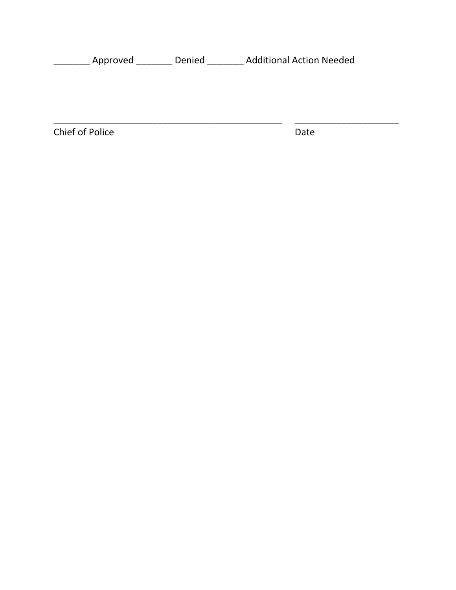\_\_\_\_\_\_\_ Approved \_\_\_\_\_\_\_ Denied \_\_\_\_\_\_\_ Additional Action Needed

\_\_\_\_\_\_\_\_\_\_\_\_\_\_\_\_\_\_\_\_\_\_\_\_\_\_\_\_\_\_\_\_\_\_\_\_\_\_\_\_\_\_\_\_ \_\_\_\_\_\_\_\_\_\_\_\_\_\_\_\_\_\_\_\_

Chief of Police Date Date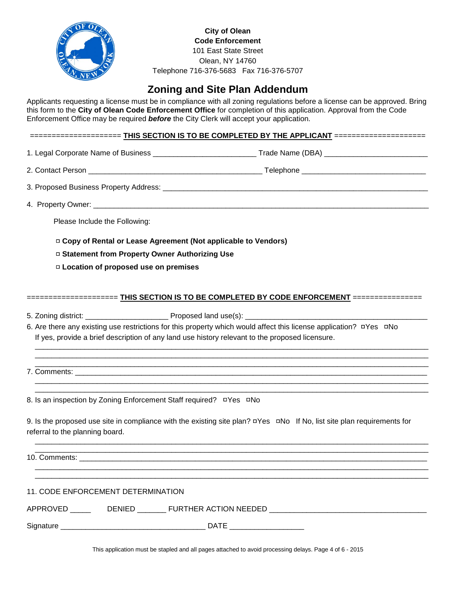

**City of Olean Code Enforcement** 101 East State Street Olean, NY 14760 Telephone 716-376-5683 Fax 716-376-5707

# **Zoning and Site Plan Addendum**

Applicants requesting a license must be in compliance with all zoning regulations before a license can be approved. Bring this form to the **City of Olean Code Enforcement Office** for completion of this application. Approval from the Code Enforcement Office may be required *before* the City Clerk will accept your application.

===================== **THIS SECTION IS TO BE COMPLETED BY THE APPLICANT** =====================

1. Legal Corporate Name of Business \_\_\_\_\_\_\_\_\_\_\_\_\_\_\_\_\_\_\_\_\_\_\_\_\_\_\_\_\_\_\_\_\_Trade Name (DBA) \_\_\_\_\_\_\_\_\_\_\_\_\_\_\_\_\_\_\_\_\_\_\_\_

2. Contact Person **and a set of the set of the set of the set of the set of the set of the set of the set of the set of the set of the set of the set of the set of the set of the set of the set of the set of the set of the** 

3. Proposed Business Property Address: \_\_\_\_\_\_\_\_\_\_\_\_\_\_\_\_\_\_\_\_\_\_\_\_\_\_\_\_\_\_\_\_\_\_\_\_\_\_\_\_\_\_\_\_\_\_\_\_\_\_\_\_\_\_\_\_\_\_\_\_\_\_\_\_

4. Property Owner: \_\_\_\_\_\_\_\_\_\_\_\_\_\_\_\_\_\_\_\_\_\_\_\_\_\_\_\_\_\_\_\_\_\_\_\_\_\_\_\_\_\_\_\_\_\_\_\_\_\_\_\_\_\_\_\_\_\_\_\_\_\_\_\_\_\_\_\_\_\_\_\_\_\_\_\_\_\_\_\_\_

Please Include the Following:

□ **Copy of Rental or Lease Agreement (Not applicable to Vendors)**

□ **Statement from Property Owner Authorizing Use**

□ **Location of proposed use on premises** 

===================== **THIS SECTION IS TO BE COMPLETED BY CODE ENFORCEMENT** ================

 $\overline{\phantom{a}}$  , and the set of the set of the set of the set of the set of the set of the set of the set of the set of the set of the set of the set of the set of the set of the set of the set of the set of the set of the s  $\overline{\phantom{a}}$  , and the set of the set of the set of the set of the set of the set of the set of the set of the set of the set of the set of the set of the set of the set of the set of the set of the set of the set of the s

 $\overline{\phantom{a}}$  , and the set of the set of the set of the set of the set of the set of the set of the set of the set of the set of the set of the set of the set of the set of the set of the set of the set of the set of the s  $\overline{\phantom{a}}$  , and the set of the set of the set of the set of the set of the set of the set of the set of the set of the set of the set of the set of the set of the set of the set of the set of the set of the set of the s

5. Zoning district: \_\_\_\_\_\_\_\_\_\_\_\_\_\_\_\_\_\_\_\_ Proposed land use(s): \_\_\_\_\_\_\_\_\_\_\_\_\_\_\_\_\_\_\_\_\_\_\_\_\_\_\_\_\_\_\_\_\_\_\_\_\_\_\_\_\_\_\_\_

6. Are there any existing use restrictions for this property which would affect this license application? □Yes□No If yes, provide a brief description of any land use history relevant to the proposed licensure.

 $\overline{\phantom{a}}$  , and the set of the set of the set of the set of the set of the set of the set of the set of the set of the set of the set of the set of the set of the set of the set of the set of the set of the set of the s 7. Comments: \_\_\_\_\_\_\_\_\_\_\_\_\_\_\_\_\_\_\_\_\_\_\_\_\_\_\_\_\_\_\_\_\_\_\_\_\_\_\_\_\_\_\_\_\_\_\_\_\_\_\_\_\_\_\_\_\_\_\_\_\_\_\_\_\_\_\_\_\_\_\_\_\_\_\_\_\_\_\_\_\_\_\_\_\_

8. Is an inspection by Zoning Enforcement Staff required? □Yes□No

9. Is the proposed use site in compliance with the existing site plan? □Yes□No If No, list site plan requirements for referral to the planning board.

 $\overline{\phantom{a}}$  ,  $\overline{\phantom{a}}$  ,  $\overline{\phantom{a}}$  ,  $\overline{\phantom{a}}$  ,  $\overline{\phantom{a}}$  ,  $\overline{\phantom{a}}$  ,  $\overline{\phantom{a}}$  ,  $\overline{\phantom{a}}$  ,  $\overline{\phantom{a}}$  ,  $\overline{\phantom{a}}$  ,  $\overline{\phantom{a}}$  ,  $\overline{\phantom{a}}$  ,  $\overline{\phantom{a}}$  ,  $\overline{\phantom{a}}$  ,  $\overline{\phantom{a}}$  ,  $\overline{\phantom{a}}$ 

 $\overline{\phantom{a}}$  , and the set of the set of the set of the set of the set of the set of the set of the set of the set of the set of the set of the set of the set of the set of the set of the set of the set of the set of the s  $\overline{\phantom{a}}$  ,  $\overline{\phantom{a}}$  ,  $\overline{\phantom{a}}$  ,  $\overline{\phantom{a}}$  ,  $\overline{\phantom{a}}$  ,  $\overline{\phantom{a}}$  ,  $\overline{\phantom{a}}$  ,  $\overline{\phantom{a}}$  ,  $\overline{\phantom{a}}$  ,  $\overline{\phantom{a}}$  ,  $\overline{\phantom{a}}$  ,  $\overline{\phantom{a}}$  ,  $\overline{\phantom{a}}$  ,  $\overline{\phantom{a}}$  ,  $\overline{\phantom{a}}$  ,  $\overline{\phantom{a}}$ 

 $\overline{\phantom{a}}$  ,  $\overline{\phantom{a}}$  ,  $\overline{\phantom{a}}$  ,  $\overline{\phantom{a}}$  ,  $\overline{\phantom{a}}$  ,  $\overline{\phantom{a}}$  ,  $\overline{\phantom{a}}$  ,  $\overline{\phantom{a}}$  ,  $\overline{\phantom{a}}$  ,  $\overline{\phantom{a}}$  ,  $\overline{\phantom{a}}$  ,  $\overline{\phantom{a}}$  ,  $\overline{\phantom{a}}$  ,  $\overline{\phantom{a}}$  ,  $\overline{\phantom{a}}$  ,  $\overline{\phantom{a}}$ 10. Comments:

#### 11. CODE ENFORCEMENT DETERMINATION

| <b>APP</b> | )⊢N | <b>NEEDED</b><br><b>HFR</b><br>'NN<br>. A ( *<br>-10<br>או |  |
|------------|-----|------------------------------------------------------------|--|
|            |     |                                                            |  |
| Signature  |     | DA                                                         |  |

This application must be stapled and all pages attached to avoid processing delays. Page 4 of 6 - 2015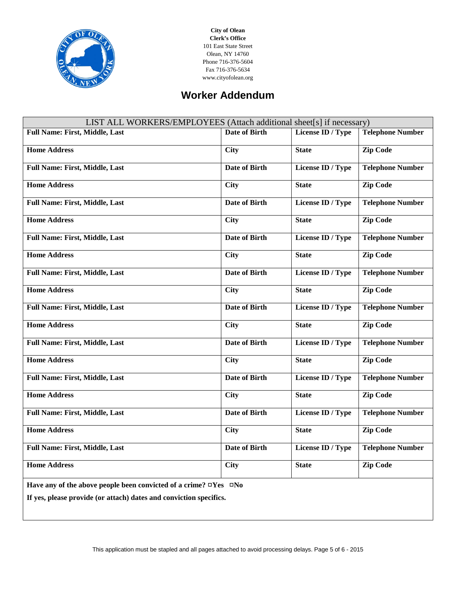

**City of Olean Clerk's Office** 101 East State Street Olean, NY 14760 Phone 716-376-5604 Fax 716-376-5634 www.cityofolean.org

# **Worker Addendum**

| LIST ALL WORKERS/EMPLOYEES (Attach additional sheet[s] if necessary)         |                      |                          |                         |  |
|------------------------------------------------------------------------------|----------------------|--------------------------|-------------------------|--|
| <b>Full Name: First, Middle, Last</b>                                        | <b>Date of Birth</b> | License ID / Type        | <b>Telephone Number</b> |  |
| <b>Home Address</b>                                                          | <b>City</b>          | <b>State</b>             | <b>Zip Code</b>         |  |
| <b>Full Name: First, Middle, Last</b>                                        | <b>Date of Birth</b> | <b>License ID</b> / Type | <b>Telephone Number</b> |  |
| <b>Home Address</b>                                                          | <b>City</b>          | <b>State</b>             | <b>Zip Code</b>         |  |
| <b>Full Name: First, Middle, Last</b>                                        | <b>Date of Birth</b> | License ID / Type        | <b>Telephone Number</b> |  |
| <b>Home Address</b>                                                          | <b>City</b>          | <b>State</b>             | <b>Zip Code</b>         |  |
| <b>Full Name: First, Middle, Last</b>                                        | <b>Date of Birth</b> | License ID / Type        | <b>Telephone Number</b> |  |
| <b>Home Address</b>                                                          | <b>City</b>          | <b>State</b>             | <b>Zip Code</b>         |  |
| <b>Full Name: First, Middle, Last</b>                                        | <b>Date of Birth</b> | License ID / Type        | <b>Telephone Number</b> |  |
| <b>Home Address</b>                                                          | <b>City</b>          | <b>State</b>             | <b>Zip Code</b>         |  |
| <b>Full Name: First, Middle, Last</b>                                        | <b>Date of Birth</b> | License ID / Type        | <b>Telephone Number</b> |  |
| <b>Home Address</b>                                                          | <b>City</b>          | <b>State</b>             | <b>Zip Code</b>         |  |
| <b>Full Name: First, Middle, Last</b>                                        | <b>Date of Birth</b> | License ID / Type        | <b>Telephone Number</b> |  |
| <b>Home Address</b>                                                          | <b>City</b>          | <b>State</b>             | <b>Zip Code</b>         |  |
| <b>Full Name: First, Middle, Last</b>                                        | <b>Date of Birth</b> | License ID / Type        | <b>Telephone Number</b> |  |
| <b>Home Address</b>                                                          | <b>City</b>          | <b>State</b>             | <b>Zip Code</b>         |  |
| <b>Full Name: First, Middle, Last</b>                                        | <b>Date of Birth</b> | License ID / Type        | <b>Telephone Number</b> |  |
| <b>Home Address</b>                                                          | <b>City</b>          | <b>State</b>             | <b>Zip Code</b>         |  |
| <b>Full Name: First, Middle, Last</b>                                        | <b>Date of Birth</b> | License ID / Type        | <b>Telephone Number</b> |  |
| <b>Home Address</b>                                                          | <b>City</b>          | <b>State</b>             | <b>Zip Code</b>         |  |
| Have any of the above people been convicted of a crime? $\Box$ Yes $\Box$ No |                      |                          |                         |  |

**If yes, please provide (or attach) dates and conviction specifics.**